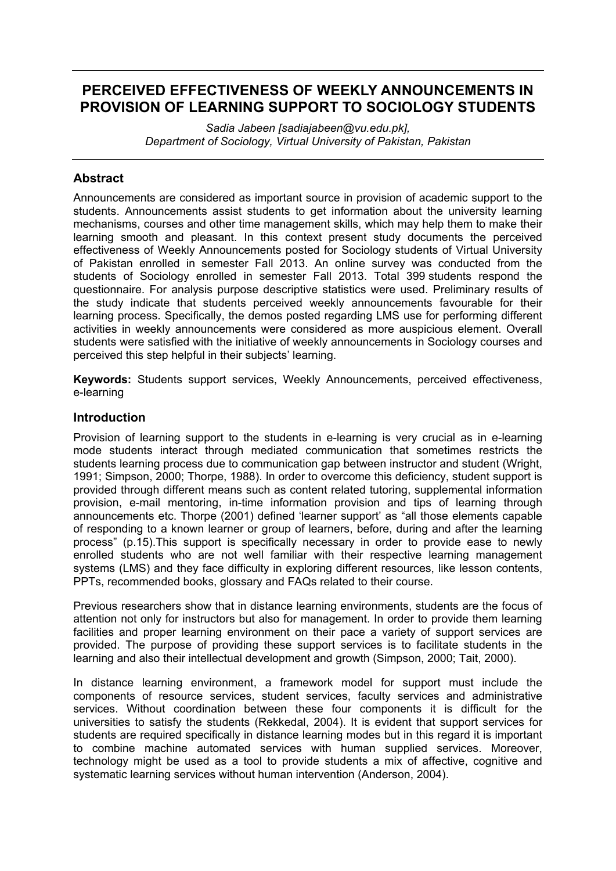# **PERCEIVED EFFECTIVENESS OF WEEKLY ANNOUNCEMENTS IN PROVISION OF LEARNING SUPPORT TO SOCIOLOGY STUDENTS**

*Sadia Jabeen [sadiajabeen@vu.edu.pk], Department of Sociology, Virtual University of Pakistan, Pakistan*

## **Abstract**

Announcements are considered as important source in provision of academic support to the students. Announcements assist students to get information about the university learning mechanisms, courses and other time management skills, which may help them to make their learning smooth and pleasant. In this context present study documents the perceived effectiveness of Weekly Announcements posted for Sociology students of Virtual University of Pakistan enrolled in semester Fall 2013. An online survey was conducted from the students of Sociology enrolled in semester Fall 2013. Total 399 students respond the questionnaire. For analysis purpose descriptive statistics were used. Preliminary results of the study indicate that students perceived weekly announcements favourable for their learning process. Specifically, the demos posted regarding LMS use for performing different activities in weekly announcements were considered as more auspicious element. Overall students were satisfied with the initiative of weekly announcements in Sociology courses and perceived this step helpful in their subjects' learning.

**Keywords:** Students support services, Weekly Announcements, perceived effectiveness, e-learning

#### **Introduction**

Provision of learning support to the students in e-learning is very crucial as in e-learning mode students interact through mediated communication that sometimes restricts the students learning process due to communication gap between instructor and student (Wright, 1991; Simpson, 2000; Thorpe, 1988). In order to overcome this deficiency, student support is provided through different means such as content related tutoring, supplemental information provision, e-mail mentoring, in-time information provision and tips of learning through announcements etc. Thorpe (2001) defined 'learner support' as "all those elements capable of responding to a known learner or group of learners, before, during and after the learning process" (p.15).This support is specifically necessary in order to provide ease to newly enrolled students who are not well familiar with their respective learning management systems (LMS) and they face difficulty in exploring different resources, like lesson contents, PPTs, recommended books, glossary and FAQs related to their course.

Previous researchers show that in distance learning environments, students are the focus of attention not only for instructors but also for management. In order to provide them learning facilities and proper learning environment on their pace a variety of support services are provided. The purpose of providing these support services is to facilitate students in the learning and also their intellectual development and growth (Simpson, 2000; Tait, 2000).

In distance learning environment, a framework model for support must include the components of resource services, student services, faculty services and administrative services. Without coordination between these four components it is difficult for the universities to satisfy the students (Rekkedal, 2004). It is evident that support services for students are required specifically in distance learning modes but in this regard it is important to combine machine automated services with human supplied services. Moreover, technology might be used as a tool to provide students a mix of affective, cognitive and systematic learning services without human intervention (Anderson, 2004).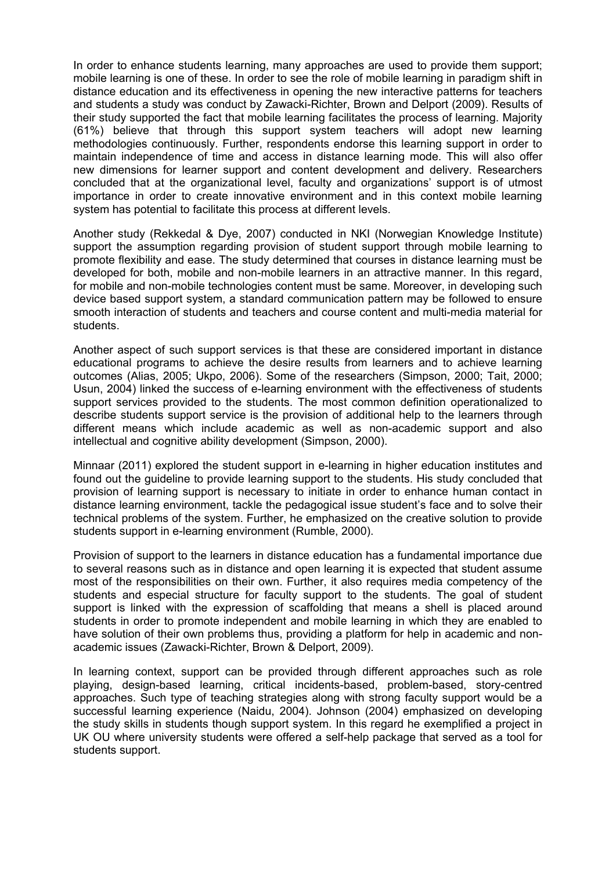In order to enhance students learning, many approaches are used to provide them support; mobile learning is one of these. In order to see the role of mobile learning in paradigm shift in distance education and its effectiveness in opening the new interactive patterns for teachers and students a study was conduct by Zawacki-Richter, Brown and Delport (2009). Results of their study supported the fact that mobile learning facilitates the process of learning. Majority (61%) believe that through this support system teachers will adopt new learning methodologies continuously. Further, respondents endorse this learning support in order to maintain independence of time and access in distance learning mode. This will also offer new dimensions for learner support and content development and delivery. Researchers concluded that at the organizational level, faculty and organizations' support is of utmost importance in order to create innovative environment and in this context mobile learning system has potential to facilitate this process at different levels.

Another study (Rekkedal & Dye, 2007) conducted in NKI (Norwegian Knowledge Institute) support the assumption regarding provision of student support through mobile learning to promote flexibility and ease. The study determined that courses in distance learning must be developed for both, mobile and non-mobile learners in an attractive manner. In this regard, for mobile and non-mobile technologies content must be same. Moreover, in developing such device based support system, a standard communication pattern may be followed to ensure smooth interaction of students and teachers and course content and multi-media material for students.

Another aspect of such support services is that these are considered important in distance educational programs to achieve the desire results from learners and to achieve learning outcomes (Alias, 2005; Ukpo, 2006). Some of the researchers (Simpson, 2000; Tait, 2000; Usun, 2004) linked the success of e-learning environment with the effectiveness of students support services provided to the students. The most common definition operationalized to describe students support service is the provision of additional help to the learners through different means which include academic as well as non-academic support and also intellectual and cognitive ability development (Simpson, 2000).

Minnaar (2011) explored the student support in e-learning in higher education institutes and found out the guideline to provide learning support to the students. His study concluded that provision of learning support is necessary to initiate in order to enhance human contact in distance learning environment, tackle the pedagogical issue student's face and to solve their technical problems of the system. Further, he emphasized on the creative solution to provide students support in e-learning environment (Rumble, 2000).

Provision of support to the learners in distance education has a fundamental importance due to several reasons such as in distance and open learning it is expected that student assume most of the responsibilities on their own. Further, it also requires media competency of the students and especial structure for faculty support to the students. The goal of student support is linked with the expression of scaffolding that means a shell is placed around students in order to promote independent and mobile learning in which they are enabled to have solution of their own problems thus, providing a platform for help in academic and nonacademic issues (Zawacki-Richter, Brown & Delport, 2009).

In learning context, support can be provided through different approaches such as role playing, design-based learning, critical incidents-based, problem-based, story-centred approaches. Such type of teaching strategies along with strong faculty support would be a successful learning experience (Naidu, 2004). Johnson (2004) emphasized on developing the study skills in students though support system. In this regard he exemplified a project in UK OU where university students were offered a self-help package that served as a tool for students support.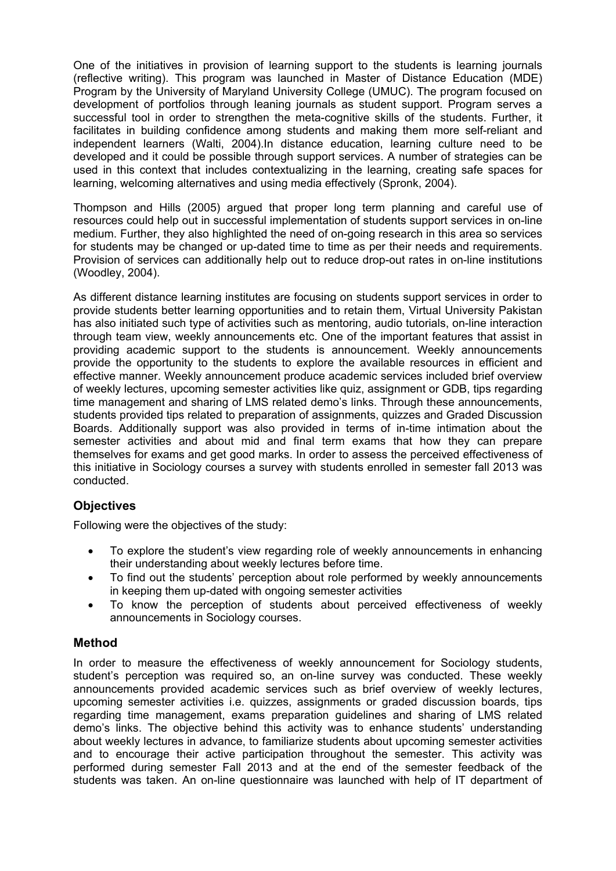One of the initiatives in provision of learning support to the students is learning journals (reflective writing). This program was launched in Master of Distance Education (MDE) Program by the University of Maryland University College (UMUC). The program focused on development of portfolios through leaning journals as student support. Program serves a successful tool in order to strengthen the meta-cognitive skills of the students. Further, it facilitates in building confidence among students and making them more self-reliant and independent learners (Walti, 2004).In distance education, learning culture need to be developed and it could be possible through support services. A number of strategies can be used in this context that includes contextualizing in the learning, creating safe spaces for learning, welcoming alternatives and using media effectively (Spronk, 2004).

Thompson and Hills (2005) argued that proper long term planning and careful use of resources could help out in successful implementation of students support services in on-line medium. Further, they also highlighted the need of on-going research in this area so services for students may be changed or up-dated time to time as per their needs and requirements. Provision of services can additionally help out to reduce drop-out rates in on-line institutions (Woodley, 2004).

As different distance learning institutes are focusing on students support services in order to provide students better learning opportunities and to retain them, Virtual University Pakistan has also initiated such type of activities such as mentoring, audio tutorials, on-line interaction through team view, weekly announcements etc. One of the important features that assist in providing academic support to the students is announcement. Weekly announcements provide the opportunity to the students to explore the available resources in efficient and effective manner. Weekly announcement produce academic services included brief overview of weekly lectures, upcoming semester activities like quiz, assignment or GDB, tips regarding time management and sharing of LMS related demo's links. Through these announcements, students provided tips related to preparation of assignments, quizzes and Graded Discussion Boards. Additionally support was also provided in terms of in-time intimation about the semester activities and about mid and final term exams that how they can prepare themselves for exams and get good marks. In order to assess the perceived effectiveness of this initiative in Sociology courses a survey with students enrolled in semester fall 2013 was conducted.

### **Objectives**

Following were the objectives of the study:

- To explore the student's view regarding role of weekly announcements in enhancing their understanding about weekly lectures before time.
- To find out the students' perception about role performed by weekly announcements in keeping them up-dated with ongoing semester activities
- To know the perception of students about perceived effectiveness of weekly announcements in Sociology courses.

### **Method**

In order to measure the effectiveness of weekly announcement for Sociology students, student's perception was required so, an on-line survey was conducted. These weekly announcements provided academic services such as brief overview of weekly lectures, upcoming semester activities i.e. quizzes, assignments or graded discussion boards, tips regarding time management, exams preparation guidelines and sharing of LMS related demo's links. The objective behind this activity was to enhance students' understanding about weekly lectures in advance, to familiarize students about upcoming semester activities and to encourage their active participation throughout the semester. This activity was performed during semester Fall 2013 and at the end of the semester feedback of the students was taken. An on-line questionnaire was launched with help of IT department of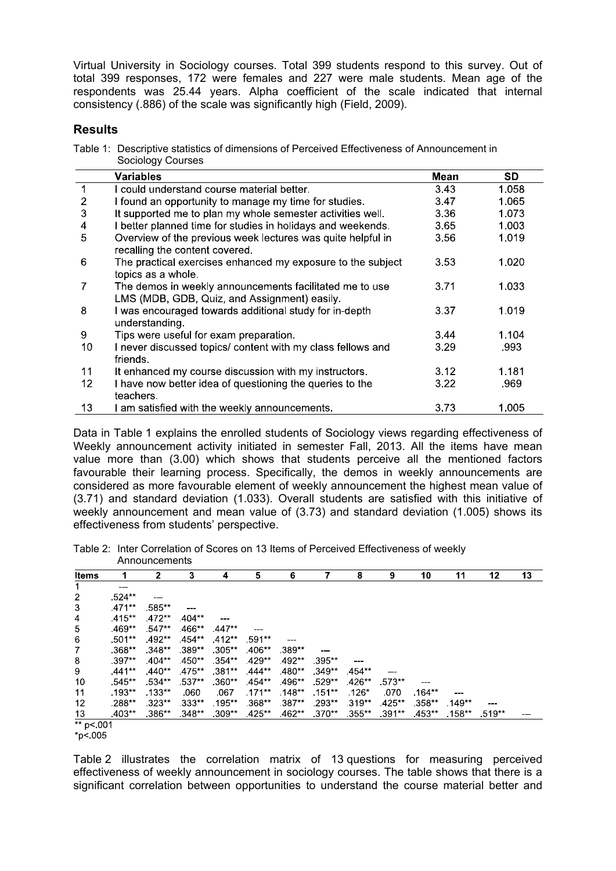Virtual University in Sociology courses. Total 399 students respond to this survey. Out of total 399 responses, 172 were females and 227 were male students. Mean age of the respondents was 25.44 years. Alpha coefficient of the scale indicated that internal consistency (.886) of the scale was significantly high (Field, 2009).

#### **Results**

Table 1: Descriptive statistics of dimensions of Perceived Effectiveness of Announcement in Sociology Courses

|    | <b>Variables</b>                                                                                        | Mean | <b>SD</b> |
|----|---------------------------------------------------------------------------------------------------------|------|-----------|
|    | I could understand course material better.                                                              | 3.43 | 1.058     |
| 2  | I found an opportunity to manage my time for studies.                                                   | 3.47 | 1.065     |
| 3  | It supported me to plan my whole semester activities well.                                              | 3.36 | 1.073     |
| 4  | better planned time for studies in holidays and weekends.                                               | 3.65 | 1.003     |
| 5  | Overview of the previous week lectures was quite helpful in<br>recalling the content covered.           | 3.56 | 1.019     |
| 6  | The practical exercises enhanced my exposure to the subject<br>topics as a whole.                       | 3.53 | 1.020     |
| 7  | The demos in weekly announcements facilitated me to use<br>LMS (MDB, GDB, Quiz, and Assignment) easily. | 3.71 | 1.033     |
| 8  | I was encouraged towards additional study for in-depth<br>understanding.                                | 3.37 | 1.019     |
| 9  | Tips were useful for exam preparation.                                                                  | 3.44 | 1.104     |
| 10 | I never discussed topics/ content with my class fellows and<br>friends.                                 | 3.29 | .993      |
| 11 | It enhanced my course discussion with my instructors.                                                   | 3.12 | 1.181     |
| 12 | I have now better idea of questioning the queries to the<br>teachers.                                   | 3.22 | .969      |
| 13 | am satisfied with the weekly announcements.                                                             | 3.73 | 1.005     |

Data in Table 1 explains the enrolled students of Sociology views regarding effectiveness of Weekly announcement activity initiated in semester Fall, 2013. All the items have mean value more than (3.00) which shows that students perceive all the mentioned factors favourable their learning process. Specifically, the demos in weekly announcements are considered as more favourable element of weekly announcement the highest mean value of (3.71) and standard deviation (1.033). Overall students are satisfied with this initiative of weekly announcement and mean value of (3.73) and standard deviation (1.005) shows its effectiveness from students' perspective.

Table 2: Inter Correlation of Scores on 13 Items of Perceived Effectiveness of weekly **Announcements** 

| Items                |          | 2            | 3         | 4         | 5        | 6        |          | 8       | 9        | 10       | 11       | 12       | 13 |
|----------------------|----------|--------------|-----------|-----------|----------|----------|----------|---------|----------|----------|----------|----------|----|
| $\mathbf 1$          |          |              |           |           |          |          |          |         |          |          |          |          |    |
| 2                    | $524**$  | <b>STATE</b> |           |           |          |          |          |         |          |          |          |          |    |
| 3                    | $.471**$ | .585**       |           |           |          |          |          |         |          |          |          |          |    |
| $\overline{4}$       | $.415**$ | $.472**$     | $.404**$  | ---       |          |          |          |         |          |          |          |          |    |
| 5                    | $469**$  | $.547**$     | 466**     | .447**    |          |          |          |         |          |          |          |          |    |
| 6                    | $.501**$ | .492**       | $.454**$  | $.412**$  | 591**    |          |          |         |          |          |          |          |    |
| $\overline{7}$       | $368**$  | $.348**$     | $.389**$  | $.305**$  | $406**$  | $.389**$ | ---      |         |          |          |          |          |    |
| 8                    | $.397**$ | $404**$      | $.450**$  | $354**$   | $429**$  | $.492**$ | $.395**$ | ---     |          |          |          |          |    |
| 9                    | .441**   | $.440**$     | $.475***$ | $.381**$  | 444**    | $.480**$ | $349**$  | 454**   |          |          |          |          |    |
| 10                   | $.545**$ | $.534**$     | $.537**$  | $.360**$  | 454**    | 496**    | $.529**$ | $426**$ | $.573**$ |          |          |          |    |
| 11                   | $.193**$ | $.133**$     | .060      | .067      | $171***$ | $.148**$ | $.151**$ | $.126*$ | .070     | $.164**$ |          |          |    |
| 12                   | $.288**$ | $323**$      | $.333**$  | $.195***$ | $368**$  | -387**   | $.293**$ | $319**$ | $425**$  | .358**   | $149**$  | ---      |    |
| 13                   | $403**$  | $.386**$     | .348**    | $309**$   | $425**$  | 462**    | $370**$  | $355**$ | $391**$  | $453**$  | $.158**$ | $.519**$ |    |
| ** p< 001            |          |              |           |           |          |          |          |         |          |          |          |          |    |
| $\sim$ $\sim$ $\sim$ |          |              |           |           |          |          |          |         |          |          |          |          |    |

 $*_{p}< 005$ 

Table 2 illustrates the correlation matrix of 13 questions for measuring perceived effectiveness of weekly announcement in sociology courses. The table shows that there is a significant correlation between opportunities to understand the course material better and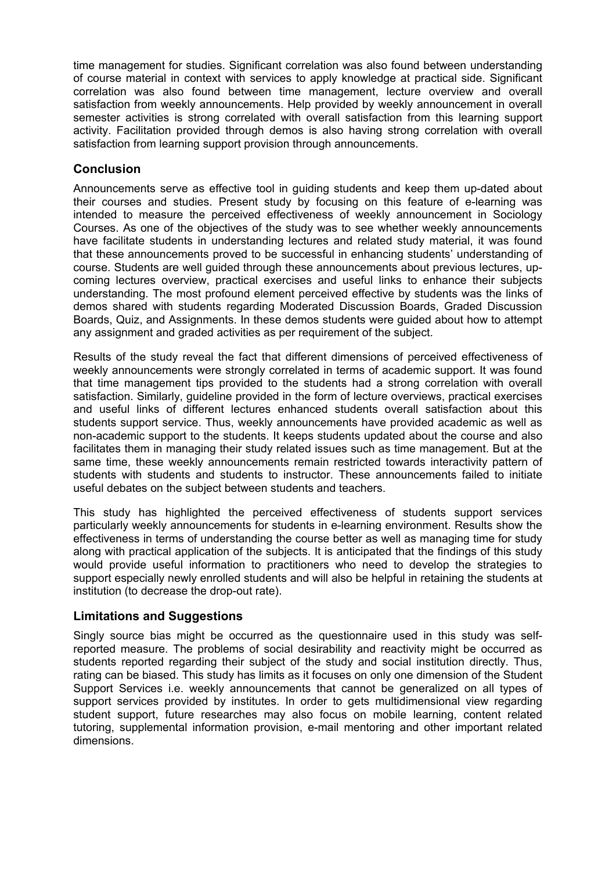time management for studies. Significant correlation was also found between understanding of course material in context with services to apply knowledge at practical side. Significant correlation was also found between time management, lecture overview and overall satisfaction from weekly announcements. Help provided by weekly announcement in overall semester activities is strong correlated with overall satisfaction from this learning support activity. Facilitation provided through demos is also having strong correlation with overall satisfaction from learning support provision through announcements.

# **Conclusion**

Announcements serve as effective tool in guiding students and keep them up-dated about their courses and studies. Present study by focusing on this feature of e-learning was intended to measure the perceived effectiveness of weekly announcement in Sociology Courses. As one of the objectives of the study was to see whether weekly announcements have facilitate students in understanding lectures and related study material, it was found that these announcements proved to be successful in enhancing students' understanding of course. Students are well guided through these announcements about previous lectures, upcoming lectures overview, practical exercises and useful links to enhance their subjects understanding. The most profound element perceived effective by students was the links of demos shared with students regarding Moderated Discussion Boards, Graded Discussion Boards, Quiz, and Assignments. In these demos students were guided about how to attempt any assignment and graded activities as per requirement of the subject.

Results of the study reveal the fact that different dimensions of perceived effectiveness of weekly announcements were strongly correlated in terms of academic support. It was found that time management tips provided to the students had a strong correlation with overall satisfaction. Similarly, guideline provided in the form of lecture overviews, practical exercises and useful links of different lectures enhanced students overall satisfaction about this students support service. Thus, weekly announcements have provided academic as well as non-academic support to the students. It keeps students updated about the course and also facilitates them in managing their study related issues such as time management. But at the same time, these weekly announcements remain restricted towards interactivity pattern of students with students and students to instructor. These announcements failed to initiate useful debates on the subject between students and teachers.

This study has highlighted the perceived effectiveness of students support services particularly weekly announcements for students in e-learning environment. Results show the effectiveness in terms of understanding the course better as well as managing time for study along with practical application of the subjects. It is anticipated that the findings of this study would provide useful information to practitioners who need to develop the strategies to support especially newly enrolled students and will also be helpful in retaining the students at institution (to decrease the drop-out rate).

### **Limitations and Suggestions**

Singly source bias might be occurred as the questionnaire used in this study was selfreported measure. The problems of social desirability and reactivity might be occurred as students reported regarding their subject of the study and social institution directly. Thus, rating can be biased. This study has limits as it focuses on only one dimension of the Student Support Services i.e. weekly announcements that cannot be generalized on all types of support services provided by institutes. In order to gets multidimensional view regarding student support, future researches may also focus on mobile learning, content related tutoring, supplemental information provision, e-mail mentoring and other important related dimensions.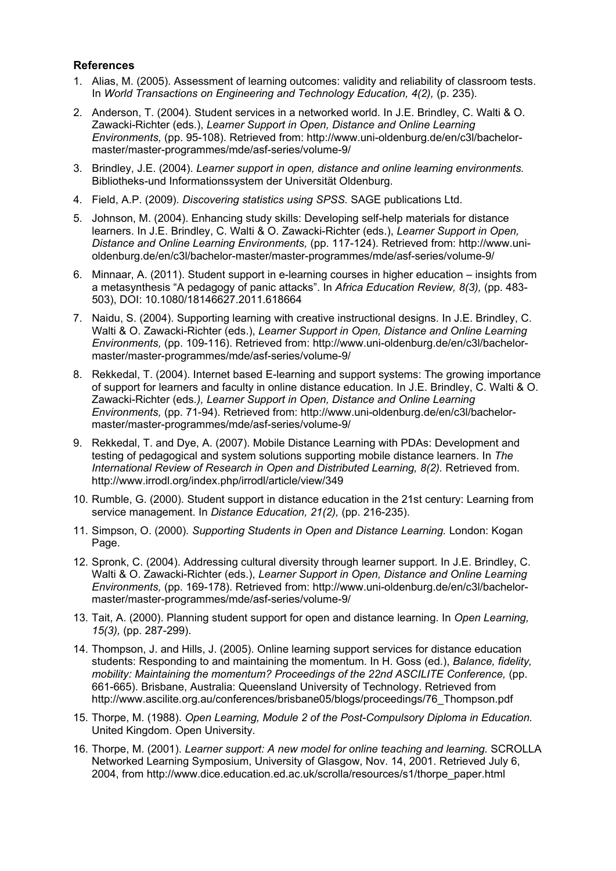#### **References**

- 1. Alias, M. (2005). Assessment of learning outcomes: validity and reliability of classroom tests. In *World Transactions on Engineering and Technology Education, 4(2),* (p. 235).
- 2. Anderson, T. (2004). Student services in a networked world. In J.E. Brindley, C. Walti & O. Zawacki-Richter (eds.), *Learner Support in Open, Distance and Online Learning Environments,* (pp. 95-108). Retrieved from: http://www.uni-oldenburg.de/en/c3l/bachelormaster/master-programmes/mde/asf-series/volume-9/
- 3. Brindley, J.E. (2004). *Learner support in open, distance and online learning environments.* Bibliotheks-und Informationssystem der Universität Oldenburg.
- 4. Field, A.P. (2009). *Discovering statistics using SPSS.* SAGE publications Ltd.
- 5. Johnson, M. (2004). Enhancing study skills: Developing self-help materials for distance learners. In J.E. Brindley, C. Walti & O. Zawacki-Richter (eds.), *Learner Support in Open, Distance and Online Learning Environments,* (pp. 117-124). Retrieved from: http://www.unioldenburg.de/en/c3l/bachelor-master/master-programmes/mde/asf-series/volume-9/
- 6. Minnaar, A. (2011). Student support in e-learning courses in higher education insights from a metasynthesis "A pedagogy of panic attacks". In *Africa Education Review, 8(3),* (pp. 483- 503), DOI: 10.1080/18146627.2011.618664
- 7. Naidu, S. (2004). Supporting learning with creative instructional designs. In J.E. Brindley, C. Walti & O. Zawacki-Richter (eds.), *Learner Support in Open, Distance and Online Learning Environments,* (pp. 109-116). Retrieved from: http://www.uni-oldenburg.de/en/c3l/bachelormaster/master-programmes/mde/asf-series/volume-9/
- 8. Rekkedal, T. (2004). Internet based E-learning and support systems: The growing importance of support for learners and faculty in online distance education. In J.E. Brindley, C. Walti & O. Zawacki-Richter (eds*.), Learner Support in Open, Distance and Online Learning Environments,* (pp. 71-94). Retrieved from: http://www.uni-oldenburg.de/en/c3l/bachelormaster/master-programmes/mde/asf-series/volume-9/
- 9. Rekkedal, T. and Dye, A. (2007). Mobile Distance Learning with PDAs: Development and testing of pedagogical and system solutions supporting mobile distance learners. In *The International Review of Research in Open and Distributed Learning, 8(2).* Retrieved from. http://www.irrodl.org/index.php/irrodl/article/view/349
- 10. Rumble, G. (2000). Student support in distance education in the 21st century: Learning from service management. In *Distance Education, 21(2),* (pp. 216-235).
- 11. Simpson, O. (2000). *Supporting Students in Open and Distance Learning.* London: Kogan Page.
- 12. Spronk, C. (2004). Addressing cultural diversity through learner support. In J.E. Brindley, C. Walti & O. Zawacki-Richter (eds.), *Learner Support in Open, Distance and Online Learning Environments,* (pp. 169-178). Retrieved from: http://www.uni-oldenburg.de/en/c3l/bachelormaster/master-programmes/mde/asf-series/volume-9/
- 13. Tait, A. (2000). Planning student support for open and distance learning. In *Open Learning, 15(3),* (pp. 287-299).
- 14. Thompson, J. and Hills, J. (2005). Online learning support services for distance education students: Responding to and maintaining the momentum. In H. Goss (ed.), *Balance, fidelity, mobility: Maintaining the momentum? Proceedings of the 22nd ASCILITE Conference,* (pp. 661-665). Brisbane, Australia: Queensland University of Technology. Retrieved from http://www.ascilite.org.au/conferences/brisbane05/blogs/proceedings/76\_Thompson.pdf
- 15. Thorpe, M. (1988). *Open Learning, Module 2 of the Post-Compulsory Diploma in Education.* United Kingdom. Open University.
- 16. Thorpe, M. (2001). *Learner support: A new model for online teaching and learning.* SCROLLA Networked Learning Symposium, University of Glasgow, Nov. 14, 2001. Retrieved July 6, 2004, from http://www.dice.education.ed.ac.uk/scrolla/resources/s1/thorpe\_paper.html